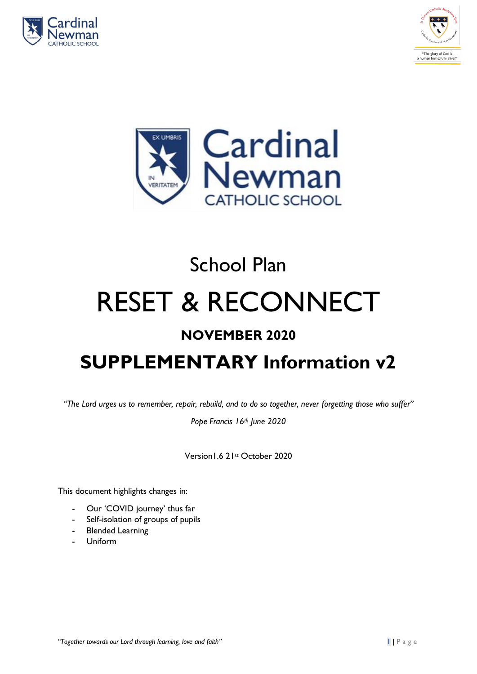





# School Plan RESET & RECONNECT

### **NOVEMBER 2020**

## **SUPPLEMENTARY Information v2**

*"The Lord urges us to remember, repair, rebuild, and to do so together, never forgetting those who suffer"*

*Pope Francis 16th June 2020*

Version1.6 21st October 2020

This document highlights changes in:

- Our 'COVID journey' thus far
- Self-isolation of groups of pupils
- Blended Learning
- Uniform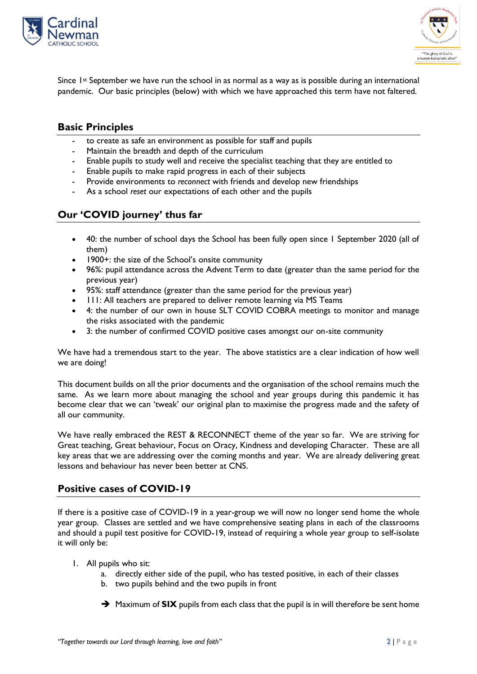



Since  $1$ <sup>st</sup> September we have run the school in as normal as a way as is possible during an international pandemic. Our basic principles (below) with which we have approached this term have not faltered.

#### **Basic Principles**

- to create as safe an environment as possible for staff and pupils
- Maintain the breadth and depth of the curriculum
- Enable pupils to study well and receive the specialist teaching that they are entitled to
- Enable pupils to make rapid progress in each of their subjects
- Provide environments to *reconnect* with friends and develop new friendships
- As a school *reset* our expectations of each other and the pupils

#### **Our 'COVID journey' thus far**

- 40: the number of school days the School has been fully open since 1 September 2020 (all of them)
- 1900+: the size of the School's onsite community
- 96%: pupil attendance across the Advent Term to date (greater than the same period for the previous year)
- 95%: staff attendance (greater than the same period for the previous year)
- 111: All teachers are prepared to deliver remote learning via MS Teams
- 4: the number of our own in house SLT COVID COBRA meetings to monitor and manage the risks associated with the pandemic
- 3: the number of confirmed COVID positive cases amongst our on-site community

We have had a tremendous start to the year. The above statistics are a clear indication of how well we are doing!

This document builds on all the prior documents and the organisation of the school remains much the same. As we learn more about managing the school and year groups during this pandemic it has become clear that we can 'tweak' our original plan to maximise the progress made and the safety of all our community.

We have really embraced the REST & RECONNECT theme of the year so far. We are striving for Great teaching, Great behaviour, Focus on Oracy, Kindness and developing Character. These are all key areas that we are addressing over the coming months and year. We are already delivering great lessons and behaviour has never been better at CNS.

#### **Positive cases of COVID-19**

If there is a positive case of COVID-19 in a year-group we will now no longer send home the whole year group. Classes are settled and we have comprehensive seating plans in each of the classrooms and should a pupil test positive for COVID-19, instead of requiring a whole year group to self-isolate it will only be:

- 1. All pupils who sit:
	- a. directly either side of the pupil, who has tested positive, in each of their classes
	- b. two pupils behind and the two pupils in front
	- ➔ Maximum of **SIX** pupils from each class that the pupil is in will therefore be sent home